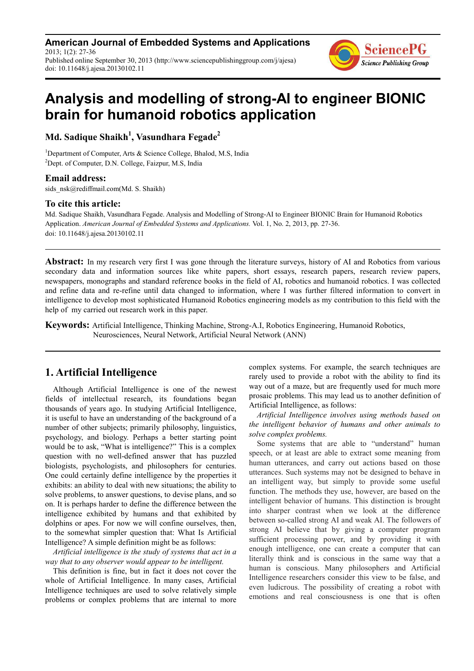**American Journal of Embedded Systems and Applications** 2013; 1(2): 27-36 Published online September 30, 2013 (http://www.sciencepublishinggroup.com/j/ajesa) doi: 10.11648/j.ajesa.20130102.11



# **Analysis and modelling of strong-AI to engineer BIONIC brain for humanoid robotics application**

**Md. Sadique Shaikh<sup>1</sup> , Vasundhara Fegade<sup>2</sup>**

<sup>1</sup>Department of Computer, Arts & Science College, Bhalod, M.S., India <sup>2</sup>Dept. of Computer, D.N. College, Faizpur, M.S, India

### **Email address:**

sids\_nsk@rediffmail.com(Md. S. Shaikh)

### **To cite this article:**

Md. Sadique Shaikh, Vasundhara Fegade. Analysis and Modelling of Strong-AI to Engineer BIONIC Brain for Humanoid Robotics Application. *American Journal of Embedded Systems and Applications.* Vol. 1, No. 2, 2013, pp. 27-36. doi: 10.11648/j.ajesa.20130102.11

**Abstract:** In my research very first I was gone through the literature surveys, history of AI and Robotics from various secondary data and information sources like white papers, short essays, research papers, research review papers, newspapers, monographs and standard reference books in the field of AI, robotics and humanoid robotics. I was collected and refine data and re-refine until data changed to information, where I was further filtered information to convert in intelligence to develop most sophisticated Humanoid Robotics engineering models as my contribution to this field with the help of my carried out research work in this paper.

**Keywords:** Artificial Intelligence, Thinking Machine, Strong-A.I, Robotics Engineering, Humanoid Robotics, Neurosciences, Neural Network, Artificial Neural Network (ANN)

# **1. Artificial Intelligence**

Although Artificial Intelligence is one of the newest fields of intellectual research, its foundations began thousands of years ago. In studying Artificial Intelligence, it is useful to have an understanding of the background of a number of other subjects; primarily philosophy, linguistics, psychology, and biology. Perhaps a better starting point would be to ask, "What is intelligence?" This is a complex question with no well-defined answer that has puzzled biologists, psychologists, and philosophers for centuries. One could certainly define intelligence by the properties it exhibits: an ability to deal with new situations; the ability to solve problems, to answer questions, to devise plans, and so on. It is perhaps harder to define the difference between the intelligence exhibited by humans and that exhibited by dolphins or apes. For now we will confine ourselves, then, to the somewhat simpler question that: What Is Artificial Intelligence? A simple definition might be as follows:

*Artificial intelligence is the study of systems that act in a way that to any observer would appear to be intelligent.* 

This definition is fine, but in fact it does not cover the whole of Artificial Intelligence. In many cases, Artificial Intelligence techniques are used to solve relatively simple problems or complex problems that are internal to more complex systems. For example, the search techniques are rarely used to provide a robot with the ability to find its way out of a maze, but are frequently used for much more prosaic problems. This may lead us to another definition of Artificial Intelligence, as follows:

*Artificial Intelligence involves using methods based on the intelligent behavior of humans and other animals to solve complex problems.* 

Some systems that are able to "understand" human speech, or at least are able to extract some meaning from human utterances, and carry out actions based on those utterances. Such systems may not be designed to behave in an intelligent way, but simply to provide some useful function. The methods they use, however, are based on the intelligent behavior of humans. This distinction is brought into sharper contrast when we look at the difference between so-called strong AI and weak AI. The followers of strong AI believe that by giving a computer program sufficient processing power, and by providing it with enough intelligence, one can create a computer that can literally think and is conscious in the same way that a human is conscious. Many philosophers and Artificial Intelligence researchers consider this view to be false, and even ludicrous. The possibility of creating a robot with emotions and real consciousness is one that is often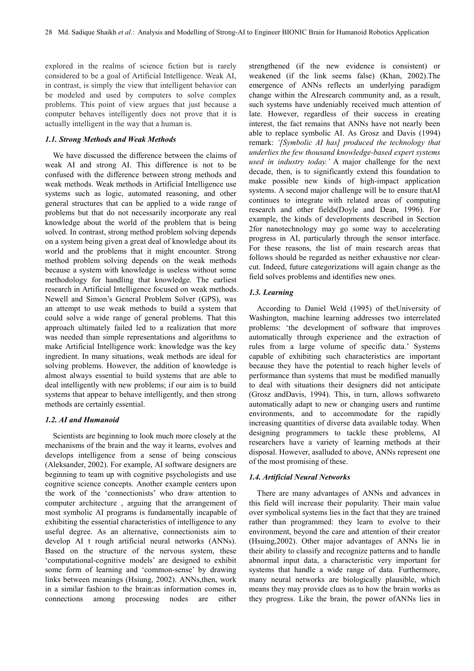explored in the realms of science fiction but is rarely considered to be a goal of Artificial Intelligence. Weak AI, in contrast, is simply the view that intelligent behavior can be modeled and used by computers to solve complex problems. This point of view argues that just because a computer behaves intelligently does not prove that it is actually intelligent in the way that a human is.

### *1.1. Strong Methods and Weak Methods*

We have discussed the difference between the claims of weak AI and strong AI. This difference is not to be confused with the difference between strong methods and weak methods. Weak methods in Artificial Intelligence use systems such as logic, automated reasoning, and other general structures that can be applied to a wide range of problems but that do not necessarily incorporate any real knowledge about the world of the problem that is being solved. In contrast, strong method problem solving depends on a system being given a great deal of knowledge about its world and the problems that it might encounter. Strong method problem solving depends on the weak methods because a system with knowledge is useless without some methodology for handling that knowledge. The earliest research in Artificial Intelligence focused on weak methods. Newell and Simon's General Problem Solver (GPS), was an attempt to use weak methods to build a system that could solve a wide range of general problems. That this approach ultimately failed led to a realization that more was needed than simple representations and algorithms to make Artificial Intelligence work: knowledge was the key ingredient. In many situations, weak methods are ideal for solving problems. However, the addition of knowledge is almost always essential to build systems that are able to deal intelligently with new problems; if our aim is to build systems that appear to behave intelligently, and then strong methods are certainly essential.

#### *1.2. AI and Humanoid*

Scientists are beginning to look much more closely at the mechanisms of the brain and the way it learns, evolves and develops intelligence from a sense of being conscious (Aleksander, 2002). For example, AI software designers are beginning to team up with cognitive psychologists and use cognitive science concepts. Another example centers upon the work of the 'connectionists' who draw attention to computer architecture , arguing that the arrangement of most symbolic AI programs is fundamentally incapable of exhibiting the essential characteristics of intelligence to any useful degree. As an alternative, connectionists aim to develop AI t rough artificial neural networks (ANNs). Based on the structure of the nervous system, these 'computational-cognitive models' are designed to exhibit some form of learning and 'common-sense' by drawing links between meanings (Hsiung, 2002). ANNs,then, work in a similar fashion to the brain:as information comes in, connections among processing nodes are either

strengthened (if the new evidence is consistent) or weakened (if the link seems false) (Khan, 2002).The emergence of ANNs reflects an underlying paradigm change within the AIresearch community and, as a result, such systems have undeniably received much attention of late. However, regardless of their success in creating interest, the fact remains that ANNs have not nearly been able to replace symbolic AI. As Grosz and Davis (1994) remark: *'[Symbolic AI has] produced the technology that underlies the few thousand knowledge-based expert systems used in industry today.'* A major challenge for the next decade, then, is to significantly extend this foundation to make possible new kinds of high-impact application systems. A second major challenge will be to ensure thatAI continues to integrate with related areas of computing research and other fields(Doyle and Dean, 1996). For example, the kinds of developments described in Section 2for nanotechnology may go some way to accelerating progress in AI, particularly through the sensor interface. For these reasons, the list of main research areas that follows should be regarded as neither exhaustive nor clearcut. Indeed, future categorizations will again change as the field solves problems and identifies new ones.

#### *1.3. Learning*

According to Daniel Weld (1995) of theUniversity of Washington, machine learning addresses two interrelated problems: 'the development of software that improves automatically through experience and the extraction of rules from a large volume of specific data.' Systems capable of exhibiting such characteristics are important because they have the potential to reach higher levels of performance than systems that must be modified manually to deal with situations their designers did not anticipate (Grosz andDavis, 1994). This, in turn, allows softwareto automatically adapt to new or changing users and runtime environments, and to accommodate for the rapidly increasing quantities of diverse data available today. When designing programmers to tackle these problems, AI researchers have a variety of learning methods at their disposal. However, asalluded to above, ANNs represent one of the most promising of these.

#### *1.4. Artificial Neural Networks*

There are many advantages of ANNs and advances in this field will increase their popularity. Their main value over symbolical systems lies in the fact that they are trained rather than programmed: they learn to evolve to their environment, beyond the care and attention of their creator (Hsuing,2002). Other major advantages of ANNs lie in their ability to classify and recognize patterns and to handle abnormal input data, a characteristic very important for systems that handle a wide range of data. Furthermore, many neural networks are biologically plausible, which means they may provide clues as to how the brain works as they progress. Like the brain, the power ofANNs lies in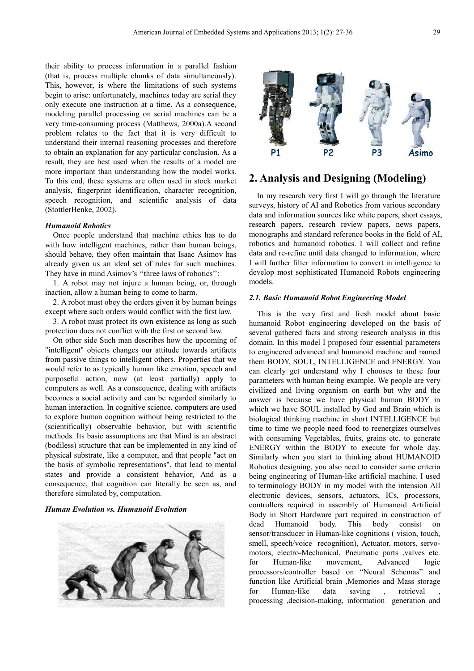their ability to process information in a parallel fashion (that is, process multiple chunks of data simultaneously). This, however, is where the limitations of such systems begin to arise: unfortunately, machines today are serial they only execute one instruction at a time. As a consequence, modeling parallel processing on serial machines can be a very time-consuming process (Matthews, 2000a).A second problem relates to the fact that it is very difficult to understand their internal reasoning processes and therefore to obtain an explanation for any particular conclusion. As a result, they are best used when the results of a model are more important than understanding how the model works. To this end, these systems are often used in stock market analysis, fingerprint identification, character recognition, speech recognition, and scientific analysis of data (StottlerHenke, 2002).

#### *Humanoid Robotics*

Once people understand that machine ethics has to do with how intelligent machines, rather than human beings, should behave, they often maintain that Isaac Asimov has already given us an ideal set of rules for such machines. They have in mind Asimov's "three laws of robotics":

1. A robot may not injure a human being, or, through inaction, allow a human being to come to harm.

2. A robot must obey the orders given it by human beings except where such orders would conflict with the first law.

3. A robot must protect its own existence as long as such protection does not conflict with the first or second law.

On other side Such man describes how the upcoming of "intelligent" objects changes our attitude towards artifacts from passive things to intelligent others. Properties that we would refer to as typically human like emotion, speech and purposeful action, now (at least partially) apply to computers as well. As a consequence, dealing with artifacts becomes a social activity and can be regarded similarly to human interaction. In cognitive science, computers are used to explore human cognition without being restricted to the (scientifically) observable behavior, but with scientific methods. Its basic assumptions are that Mind is an abstract (bodiless) structure that can be implemented in any kind of physical substrate, like a computer, and that people "act on the basis of symbolic representations", that lead to mental states and provide a consistent behavior, And as a consequence, that cognition can literally be seen as, and therefore simulated by, computation.

#### *Human Evolution vs. Humanoid Evolution*





# **2. Analysis and Designing (Modeling)**

In my research very first I will go through the literature surveys, history of AI and Robotics from various secondary data and information sources like white papers, short essays, research papers, research review papers, news papers, monographs and standard reference books in the field of AI, robotics and humanoid robotics. I will collect and refine data and re-refine until data changed to information, where I will further filter information to convert in intelligence to develop most sophisticated Humanoid Robots engineering models.

#### *2.1. Basic Humanoid Robot Engineering Model*

This is the very first and fresh model about basic humanoid Robot engineering developed on the basis of several gathered facts and strong research analysis in this domain. In this model I proposed four essential parameters to engineered advanced and humanoid machine and named them BODY, SOUL, INTELLIGENCE and ENERGY. You can clearly get understand why I chooses to these four parameters with human being example. We people are very civilized and living organism on earth but why and the answer is because we have physical human BODY in which we have SOUL installed by God and Brain which is biological thinking machine in short INTELLIGENCE but time to time we people need food to reenergizes ourselves with consuming Vegetables, fruits, grains etc. to generate ENERGY within the BODY to execute for whole day. Similarly when you start to thinking about HUMANOID Robotics designing, you also need to consider same criteria being engineering of Human-like artificial machine. I used to terminology BODY in my model with the intension All electronic devices, sensors, actuators, ICs, processors, controllers required in assembly of Humanoid Artificial Body in Short Hardware part required in construction of dead Humanoid body. This body consist on sensor/transducer in Human-like cognitions ( vision, touch, smell, speech/voice recognition), Actuator, motors, servomotors, electro-Mechanical, Pneumatic parts ,valves etc. for Human-like movement, Advanced logic processors/controller based on "Neural Schemas" and function like Artificial brain ,Memories and Mass storage for Human-like data saving , retrieval processing ,decision-making, information generation and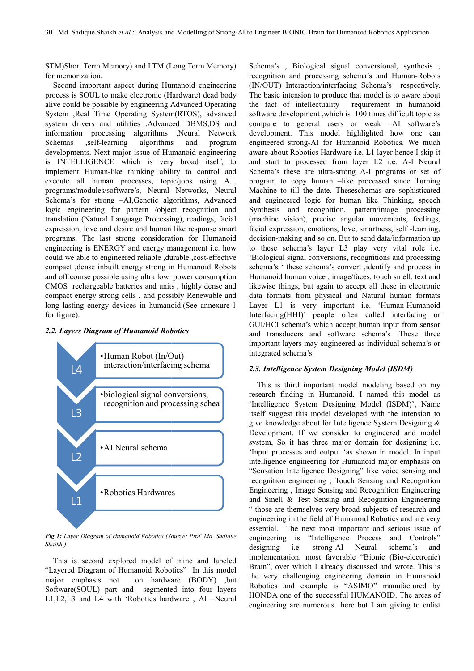STM)Short Term Memory) and LTM (Long Term Memory) for memorization.

Second important aspect during Humanoid engineering process is SOUL to make electronic (Hardware) dead body alive could be possible by engineering Advanced Operating System , Real Time Operating System(RTOS), advanced system drivers and utilities ,Advanced DBMS,DS and information processing algorithms ,Neural Network Schemas ,self-learning algorithms and program developments. Next major issue of Humanoid engineering is INTELLIGENCE which is very broad itself, to implement Human-like thinking ability to control and execute all human processes, topic/jobs using A.I. programs/modules/software's, Neural Networks, Neural Schema's for strong –AI,Genetic algorithms, Advanced logic engineering for pattern /object recognition and translation (Natural Language Processing), readings, facial expression, love and desire and human like response smart programs. The last strong consideration for Humanoid engineering is ENERGY and energy management i.e. could we able to engineered reliable , durable , cost-effective compact ,dense inbuilt energy strong in Humanoid Robots and off course possible using ultra low power consumption CMOS rechargeable batteries and units , highly dense and compact energy strong cells , and possibly Re Renewable and long lasting energy devices in humanoid. (See annexure-1 for figure). like thinking ability to control and<br>n processes, topic/jobs using A.I.<br>oftware's, Neural Networks, Neural<br>g -AI,Genetic algorithms, Advanced<br>for pattern /object recognition and Natural Language Processing), readings, facial<br>love and desire and human like response smart<br>The last strong consideration for Humanoid<br>is ENERGY and energy management i.e. how

#### *2.2. Layers Diagram of Humanoid Robotics gram*



*Fig 1: Layer Diagram of Humanoid Robotics (Source: Prof. Md. Sadique Shaikh.)* 

This is second explored model of mine and labeled "Layered Diagram of Humanoid Robotics" In this model major emphasis not on hardware (BODY) ,but Software(SOUL) part and segmented into four layers L1,L2,L3 and L4 with 'Robotics hardware , AI –Neural

Schema's , Biological signal conversional, synthesis , recognition and processing schema's and Human (IN/OUT) Interaction/interfacing Schema's respectively. The basic intension to produce that model is to aware about the fact of intellectuality software development ,which is 100 times difficult topic as compare to general users or weak –AI software's development. This model highlighted how one can engineered strong-AI for Humanoid Robotics. We much engineered strong-AI for Humanoid Robotics. We much<br>aware about Robotics Hardware i.e. L1 layer hence I skip it and start to processed from layer L2 i.e. A A-I Neural Schema's these are ultra-strong A-I programs or set of program to copy human –like processed since Turning Machine to till the date. Theseschemas are sophisticated and engineered logic for human like Thinking, speech Synthesis and recognition, pattern/image processing (machine vision), precise angular movements, feelings, facial expression, emotions, love, smartness, self-learning, decision-making and so on. But to send data/information up to these schema's layer L3 play very vital role i.e. 'Biological signal conversions, recognitions and processing schema's ' these schema's convert ,identify and process in Humanoid human voice , image/faces, touch smell, text and likewise things, but again to accept all these in electronic data formats from physical and Natural human formats Layer L1 is very important i.e. 'Human-Humanoid Interfacing(HHI)' people often called interfacing or GUI/HCI schema's which accept human input from sensor and transducers and software schema's .These three important layers may engineered as individual schema's or integrated schema's. White are: Analysis and Modeling of Strengt-N in Figure ENONC Pains in the<br>meanon Robotics Application (Memory) and ITM (Long Term Memory) Schema's Hological signal conversional, symbolis<br>at a speed during Humanoid equine requirement in humanoid to copy human -like processed since Turning<br>to till the date. Theseschemas are sophisticated<br>ineered logic for human like Thinking, speech<br>s and recognition, pattern/image processing<br>e vision), precise angular movements, f

#### *2.3. Intelligence System Designing Model (ISDM)*

This is third important model modeling based on my research finding in Humanoid. I named this model as 'Intelligence System Designing Model (ISDM)', Name itself suggest this model developed with the intension to give knowledge about for Intelligence System Designing & Development. If we consider to engineered and model system, So it has three major domain for designing i.e. 'Input processes and output 'as shown in model. In input intelligence engineering for Humanoid major emphasis on "Sensation Intelligence Designing" like voice sensing and recognition engineering , Touch Sensi Sensing and Recognition Engineering , Image Sensing and Recognition Engineering and Smell & Test Sensing and Recognition Engineering " those are themselves very broad subjects of research and engineering in the field of Humanoid Robotics and are very essential. The next most important and serious issue of engineering is "Intelligence Process and Controls" designing i.e. strong-AI Neural schema's and designing i.e. strong-AI Neural schema's and<br>implementation, most favorable "Bionic (Bio-electronic) Brain", over which I already discussed and wrote. This is the very challenging engineering domain in Humanoid Robotics and example is "ASIMO" manufactured by HONDA one of the successful HUMANOID. The areas of engineering are numerous here but I am giving to enlist manoid. I named this model as<br>esigning Model (ISDM)', Name<br>I developed with the intension to<br>r Intelligence System Designing &<br>msider to engineered and model<br>major domain for designing i.e.<br>tput 'as shown in model. In inpu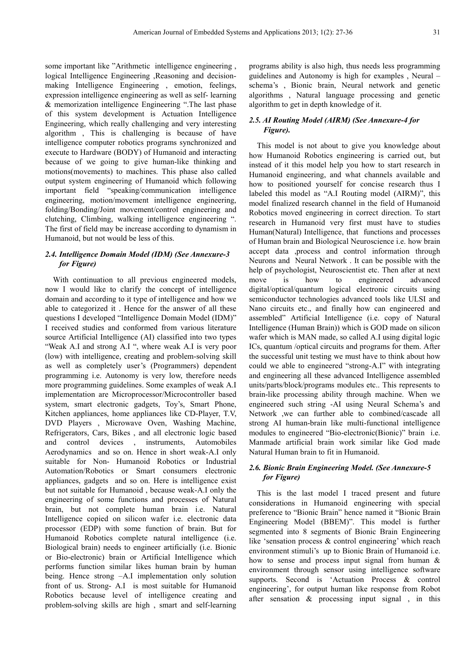some important like "Arithmetic intelligence engineering , logical Intelligence Engineering ,Reasoning and decisionmaking Intelligence Engineering , emotion, feelings, expression intelligence engineering as well as self- learning & memorization intelligence Engineering ".The last phase of this system development is Actuation Intelligence Engineering, which really challenging and very interesting algorithm , This is challenging is because of have intelligence computer robotics programs synchronized and execute to Hardware (BODY) of Humanoid and interacting because of we going to give human-like thinking and motions(movements) to machines. This phase also called output system engineering of Humanoid which following important field "speaking/communication intelligence engineering, motion/movement intelligence engineering, folding/Bonding/Joint movement/control engineering and clutching, Climbing, walking intelligence engineering ". The first of field may be increase according to dynamism in Humanoid, but not would be less of this.

### *2.4. Intelligence Domain Model (IDM) (See Annexure-3 for Figure)*

With continuation to all previous engineered models, now I would like to clarify the concept of intelligence domain and according to it type of intelligence and how we able to categorized it . Hence for the answer of all these questions I developed "Intelligence Domain Model (IDM)" I received studies and conformed from various literature source Artificial Intelligence (AI) classified into two types "Weak A.I and strong A.I ", where weak A.I is very poor (low) with intelligence, creating and problem-solving skill as well as completely user's (Programmers) dependent programming i.e. Autonomy is very low, therefore needs more programming guidelines. Some examples of weak A.I implementation are Microprocessor/Microcontroller based system, smart electronic gadgets, Toy's, Smart Phone, Kitchen appliances, home appliances like CD-Player, T.V, DVD Players , Microwave Oven, Washing Machine, Refrigerators, Cars, Bikes , and all electronic logic based and control devices , instruments, Automobiles Aerodynamics and so on. Hence in short weak-A.I only suitable for Non- Humanoid Robotics or Industrial Automation/Robotics or Smart consumers electronic appliances, gadgets and so on. Here is intelligence exist but not suitable for Humanoid , because weak-A.I only the engineering of some functions and processes of Natural brain, but not complete human brain i.e. Natural Intelligence copied on silicon wafer i.e. electronic data processor (EDP) with some function of brain. But for Humanoid Robotics complete natural intelligence (i.e. Biological brain) needs to engineer artificially (i.e. Bionic or Bio-electronic) brain or Artificial Intelligence which performs function similar likes human brain by human being. Hence strong –A.I implementation only solution front of us. Strong- A.I is most suitable for Humanoid Robotics because level of intelligence creating and problem-solving skills are high , smart and self-learning

programs ability is also high, thus needs less programming guidelines and Autonomy is high for examples , Neural – schema's , Bionic brain, Neural network and genetic algorithms , Natural language processing and genetic algorithm to get in depth knowledge of it.

### *2.5. AI Routing Model (AIRM) (See Annexure-4 for Figure).*

This model is not about to give you knowledge about how Humanoid Robotics engineering is carried out, but instead of it this model help you how to start research in Humanoid engineering, and what channels available and how to positioned yourself for concise research thus I labeled this model as "A.I Routing model (AIRM)", this model finalized research channel in the field of Humanoid Robotics moved engineering in correct direction. To start research in Humanoid very first must have to studies Human(Natural) Intelligence, that functions and processes of Human brain and Biological Neuroscience i.e. how brain accept data ,process and control information through Neurons and Neural Network . It can be possible with the help of psychologist, Neuroscientist etc. Then after at next move is how to engineered advanced digital/optical/quantum logical electronic circuits using semiconductor technologies advanced tools like ULSI and Nano circuits etc., and finally how can engineered and assembled" Artificial Intelligence (i.e. copy of Natural Intelligence (Human Brain)) which is GOD made on silicon wafer which is MAN made, so called A.I using digital logic ICs, quantum /optical circuits and programs for them. After the successful unit testing we must have to think about how could we able to engineered "strong-A.I" with integrating and engineering all these advanced Intelligence assembled units/parts/block/programs modules etc.. This represents to brain-like processing ability through machine. When we engineered such string -AI using Neural Schema's and Network ,we can further able to combined/cascade all strong AI human-brain like multi-functional intelligence modules to engineered "Bio-electronic(Bionic)" brain i.e. Manmade artificial brain work similar like God made Natural Human brain to fit in Humanoid.

### *2.6. Bionic Brain Engineering Model. (See Annexure-5 for Figure)*

This is the last model I traced present and future considerations in Humanoid engineering with special preference to "Bionic Brain" hence named it "Bionic Brain Engineering Model (BBEM)". This model is further segmented into 8 segments of Bionic Brain Engineering like 'sensation process & control engineering' which reach environment stimuli's up to Bionic Brain of Humanoid i.e. how to sense and process input signal from human & environment through sensor using intelligence software supports. Second is 'Actuation Process & control engineering', for output human like response from Robot after sensation & processing input signal , in this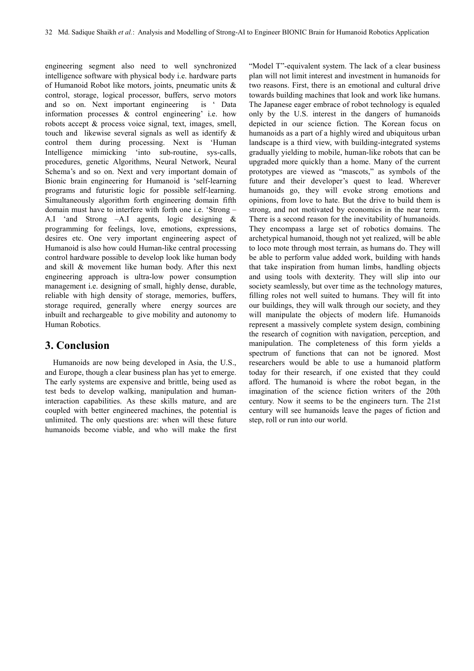engineering segment also need to well synchronized intelligence software with physical body i.e. hardware parts of Humanoid Robot like motors, joints, pneumatic units & control, storage, logical processor, buffers, servo motors and so on. Next important engineering is ' Data information processes & control engineering' i.e. how robots accept & process voice signal, text, images, smell, touch and likewise several signals as well as identify & control them during processing. Next is 'Human Intelligence mimicking 'into sub-routine, sys-calls, procedures, genetic Algorithms, Neural Network, Neural Schema's and so on. Next and very important domain of Bionic brain engineering for Humanoid is 'self-learning programs and futuristic logic for possible self-learning. Simultaneously algorithm forth engineering domain fifth domain must have to interfere with forth one i.e. 'Strong – A.I 'and Strong –A.I agents, logic designing & programming for feelings, love, emotions, expressions, desires etc. One very important engineering aspect of Humanoid is also how could Human-like central processing control hardware possible to develop look like human body and skill & movement like human body. After this next engineering approach is ultra-low power consumption management i.e. designing of small, highly dense, durable, reliable with high density of storage, memories, buffers, storage required, generally where energy sources are inbuilt and rechargeable to give mobility and autonomy to Human Robotics.

### **3. Conclusion**

Humanoids are now being developed in Asia, the U.S., and Europe, though a clear business plan has yet to emerge. The early systems are expensive and brittle, being used as test beds to develop walking, manipulation and humaninteraction capabilities. As these skills mature, and are coupled with better engineered machines, the potential is unlimited. The only questions are: when will these future humanoids become viable, and who will make the first

"Model T"-equivalent system. The lack of a clear business plan will not limit interest and investment in humanoids for two reasons. First, there is an emotional and cultural drive towards building machines that look and work like humans. The Japanese eager embrace of robot technology is equaled only by the U.S. interest in the dangers of humanoids depicted in our science fiction. The Korean focus on humanoids as a part of a highly wired and ubiquitous urban landscape is a third view, with building-integrated systems gradually yielding to mobile, human-like robots that can be upgraded more quickly than a home. Many of the current prototypes are viewed as "mascots," as symbols of the future and their developer's quest to lead. Wherever humanoids go, they will evoke strong emotions and opinions, from love to hate. But the drive to build them is strong, and not motivated by economics in the near term. There is a second reason for the inevitability of humanoids. They encompass a large set of robotics domains. The archetypical humanoid, though not yet realized, will be able to loco mote through most terrain, as humans do. They will be able to perform value added work, building with hands that take inspiration from human limbs, handling objects and using tools with dexterity. They will slip into our society seamlessly, but over time as the technology matures, filling roles not well suited to humans. They will fit into our buildings, they will walk through our society, and they will manipulate the objects of modern life. Humanoids represent a massively complete system design, combining the research of cognition with navigation, perception, and manipulation. The completeness of this form yields a spectrum of functions that can not be ignored. Most researchers would be able to use a humanoid platform today for their research, if one existed that they could afford. The humanoid is where the robot began, in the imagination of the science fiction writers of the 20th century. Now it seems to be the engineers turn. The 21st century will see humanoids leave the pages of fiction and step, roll or run into our world.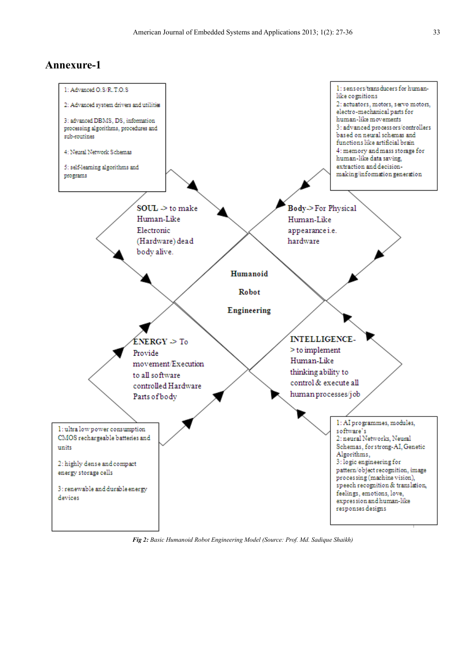# **Annexure-1**



*Fig 2: Basic Humanoid Robot Engineering Model (Source: Prof. Md. Sadique Shaikh)*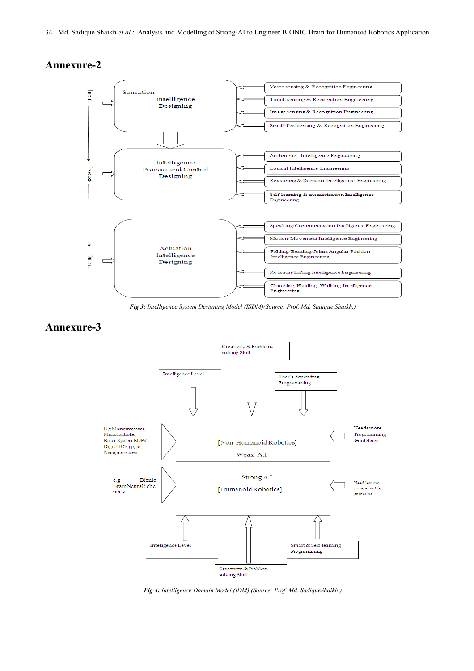# **Annexure-2**



*Fig 3: Intelligence System Designing Model (ISDM)(Source: Prof. Md. Sadique Shaikh.)* 

# **Annexure-3**



*Fig 4: Intelligence Domain Model (IDM) (Source: Prof. Md. SadiqueShaikh.)*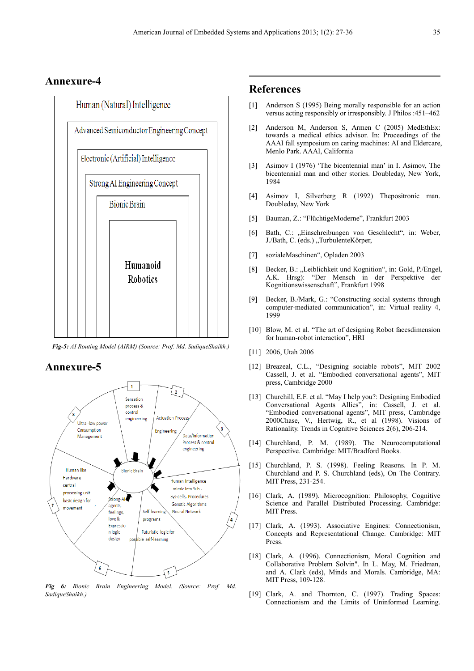### **Annexure-4**



*Fig-5: AI Routing Model (AIRM) (Source: Prof. Md. SadiqueShaikh.)* 

## **Annexure-5**



*Fig 6: Bionic Brain Engineering Model. (Source: Prof. Md. SadiqueShaikh.)* 

# **References**

- [1] Anderson S (1995) Being morally responsible for an action versus acting responsibly or irresponsibly. J Philos :451–462
- [2] Anderson M, Anderson S, Armen C (2005) MedEthEx: towards a medical ethics advisor. In: Proceedings of the AAAI fall symposium on caring machines: AI and Eldercare, Menlo Park. AAAI, California
- [3] Asimov I (1976) 'The bicentennial man' in I. Asimov, The bicentennial man and other stories. Doubleday, New York, 1984
- [4] Asimov I, Silverberg R (1992) Thepositronic man. Doubleday, New York
- [5] Bauman, Z.: "FlüchtigeModerne", Frankfurt 2003
- [6] Bath, C.: "Einschreibungen von Geschlecht", in: Weber, J./Bath, C. (eds.), TurbulenteKörper,
- [7] sozialeMaschinen", Opladen 2003
- [8] Becker, B.: "Leiblichkeit und Kognition", in: Gold, P./Engel, A.K. Hrsg): "Der Mensch in der Perspektive der Kognitionswissenschaft", Frankfurt 1998
- [9] Becker, B./Mark, G.: "Constructing social systems through computer-mediated communication", in: Virtual reality 4, 1999
- [10] Blow, M. et al. "The art of designing Robot facesdimension for human-robot interaction", HRI
- [11] 2006, Utah 2006
- [12] Breazeal, C.L., "Designing sociable robots", MIT 2002 Cassell, J. et al. "Embodied conversational agents", MIT press, Cambridge 2000
- [13] Churchill, E.F. et al. "May I help you?: Designing Embodied Conversational Agents Allies", in: Cassell, J. et al. "Embodied conversational agents", MIT press, Cambridge 2000Chase, V., Hertwig, R., et al (1998). Visions of Rationality. Trends in Cognitive Sciences 2(6), 206-214.
- [14] Churchland, P. M. (1989). The Neurocomputational Perspective. Cambridge: MIT/Bradford Books.
- [15] Churchland, P. S. (1998). Feeling Reasons. In P. M. Churchland and P. S. Churchland (eds), On The Contrary. MIT Press, 231-254.
- [16] Clark, A. (1989). Microcognition: Philosophy, Cognitive Science and Parallel Distributed Processing. Cambridge: MIT Press.
- [17] Clark, A. (1993). Associative Engines: Connectionism, Concepts and Representational Change. Cambridge: MIT Press.
- [18] Clark, A. (1996). Connectionism, Moral Cognition and Collaborative Problem Solvin". In L. May, M. Friedman, and A. Clark (eds), Minds and Morals. Cambridge, MA: MIT Press, 109-128.
- [19] Clark, A. and Thornton, C. (1997). Trading Spaces: Connectionism and the Limits of Uninformed Learning.